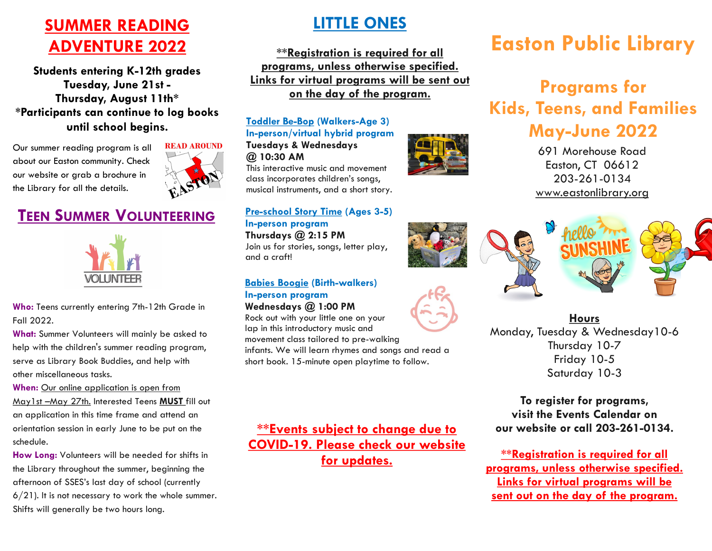## **SUMMER READING ADVENTURE 2022**

**Students entering K-12th grades Tuesday, June 21st - Thursday, August 11th\* \*Participants can continue to log books until school begins.**

Our summer reading program is all about our Easton community. Check our website or grab a brochure in the Library for all the details.



### **TEEN SUMMER VOLUNTEERING**



**Who:** Teens currently entering 7th-12th Grade in Fall 2022.

**What:** Summer Volunteers will mainly be asked to help with the children's summer reading program, serve as Library Book Buddies, and help with other miscellaneous tasks.

**When:** Our online application is open from May1st –May 27th. Interested Teens **MUST** fill out an application in this time frame and attend an orientation session in early June to be put on the schedule.

**How Long:** Volunteers will be needed for shifts in the Library throughout the summer, beginning the afternoon of SSES's last day of school (currently  $6/21$ ). It is not necessary to work the whole summer. Shifts will generally be two hours long.

### **LITTLE ONES**

**\*\*Registration is required for all programs, unless otherwise specified. Links for virtual programs will be sent out on the day of the program.**

#### **Toddler Be-Bop (Walkers-Age 3) In-person/virtual hybrid program**

**Tuesdays & Wednesdays @ 10:30 AM**

This interactive music and movement class incorporates children's songs, musical instruments, and a short story.

#### **Pre-school Story Time (Ages 3-5) In-person program**

**Thursdays @ 2:15 PM** Join us for stories, songs, letter play, and a craft!

#### **Babies Boogie (Birth-walkers) In-person program**

**Wednesdays @ 1:00 PM** Rock out with your little one on your lap in this introductory music and movement class tailored to pre-walking

infants. We will learn rhymes and songs and read a short book. 15-minute open playtime to follow.

**\*\*Events subject to change due to COVID-19. Please check our website for updates.**

# **Easton Public Library**

# **Programs for Kids, Teens, and Families May-June 2022**

691 Morehouse Road Easton, CT 06612 203-261-0134 [www.eastonlibrary.org](http://www.eastonlibrary.org)







**Hours**

Monday, Tuesday & Wednesday10-6 Thursday 10-7 Friday 10-5 Saturday 10-3

**To register for programs, visit the Events Calendar on our website or call 203-261-0134.**

**\*\*Registration is required for all programs, unless otherwise specified. Links for virtual programs will be sent out on the day of the program.**